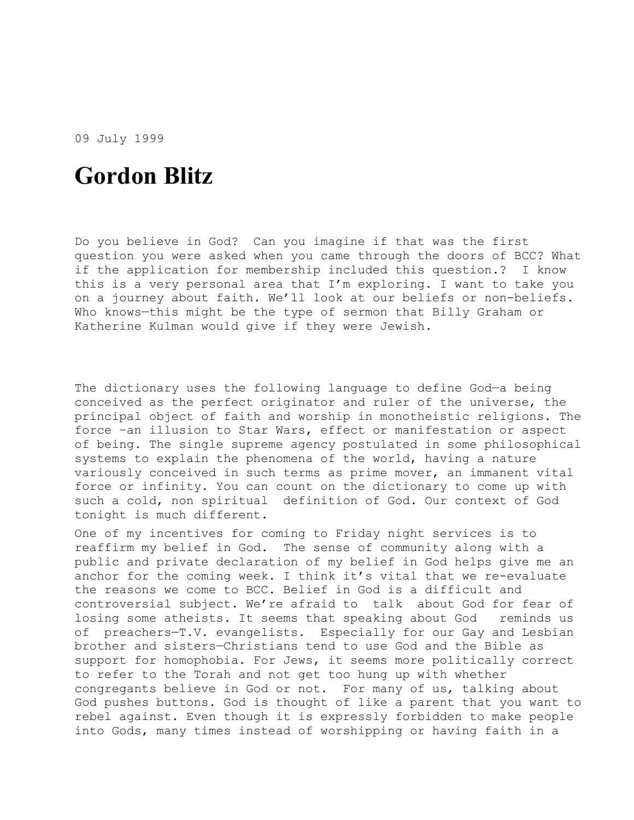09 July 1999

## **Gordon Blitz**

Do you believe in God? Can you imagine if that was the first question you were asked when you came through the doors of BCC? What if the application for membership included this question.? I know this is a very personal area that I'm exploring. I want to take you on a journey about faith. We'll look at our beliefs or non-beliefs. Who knows—this might be the type of sermon that Billy Graham or Katherine Kulman would give if they were Jewish.

The dictionary uses the following language to define God—a being conceived as the perfect originator and ruler of the universe, the principal object of faith and worship in monotheistic religions. The force –an illusion to Star Wars, effect or manifestation or aspect of being. The single supreme agency postulated in some philosophical systems to explain the phenomena of the world, having a nature variously conceived in such terms as prime mover, an immanent vital force or infinity. You can count on the dictionary to come up with such a cold, non spiritual definition of God. Our context of God tonight is much different.

One of my incentives for coming to Friday night services is to reaffirm my belief in God. The sense of community along with a public and private declaration of my belief in God helps give me an anchor for the coming week. I think it's vital that we re-evaluate the reasons we come to BCC. Belief in God is a difficult and controversial subject. We're afraid to talk about God for fear of losing some atheists. It seems that speaking about God reminds us of preachers—T.V. evangelists. Especially for our Gay and Lesbian brother and sisters—Christians tend to use God and the Bible as support for homophobia. For Jews, it seems more politically correct to refer to the Torah and not get too hung up with whether congregants believe in God or not. For many of us, talking about God pushes buttons. God is thought of like a parent that you want to rebel against. Even though it is expressly forbidden to make people into Gods, many times instead of worshipping or having faith in a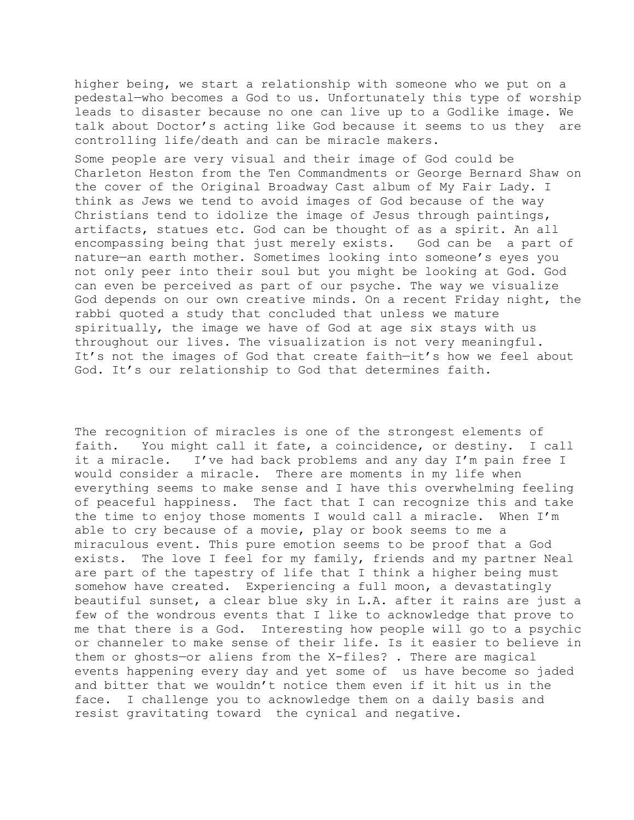higher being, we start a relationship with someone who we put on a pedestal—who becomes a God to us. Unfortunately this type of worship leads to disaster because no one can live up to a Godlike image. We talk about Doctor's acting like God because it seems to us they are controlling life/death and can be miracle makers.

Some people are very visual and their image of God could be Charleton Heston from the Ten Commandments or George Bernard Shaw on the cover of the Original Broadway Cast album of My Fair Lady. I think as Jews we tend to avoid images of God because of the way Christians tend to idolize the image of Jesus through paintings, artifacts, statues etc. God can be thought of as a spirit. An all encompassing being that just merely exists. God can be a part of nature—an earth mother. Sometimes looking into someone's eyes you not only peer into their soul but you might be looking at God. God can even be perceived as part of our psyche. The way we visualize God depends on our own creative minds. On a recent Friday night, the rabbi quoted a study that concluded that unless we mature spiritually, the image we have of God at age six stays with us throughout our lives. The visualization is not very meaningful. It's not the images of God that create faith—it's how we feel about God. It's our relationship to God that determines faith.

The recognition of miracles is one of the strongest elements of faith. You might call it fate, a coincidence, or destiny. I call it a miracle. I've had back problems and any day I'm pain free I would consider a miracle. There are moments in my life when everything seems to make sense and I have this overwhelming feeling of peaceful happiness. The fact that I can recognize this and take the time to enjoy those moments I would call a miracle. When I'm able to cry because of a movie, play or book seems to me a miraculous event. This pure emotion seems to be proof that a God exists. The love I feel for my family, friends and my partner Neal are part of the tapestry of life that I think a higher being must somehow have created. Experiencing a full moon, a devastatingly beautiful sunset, a clear blue sky in L.A. after it rains are just a few of the wondrous events that I like to acknowledge that prove to me that there is a God. Interesting how people will go to a psychic or channeler to make sense of their life. Is it easier to believe in them or ghosts—or aliens from the X-files? . There are magical events happening every day and yet some of us have become so jaded and bitter that we wouldn't notice them even if it hit us in the face. I challenge you to acknowledge them on a daily basis and resist gravitating toward the cynical and negative.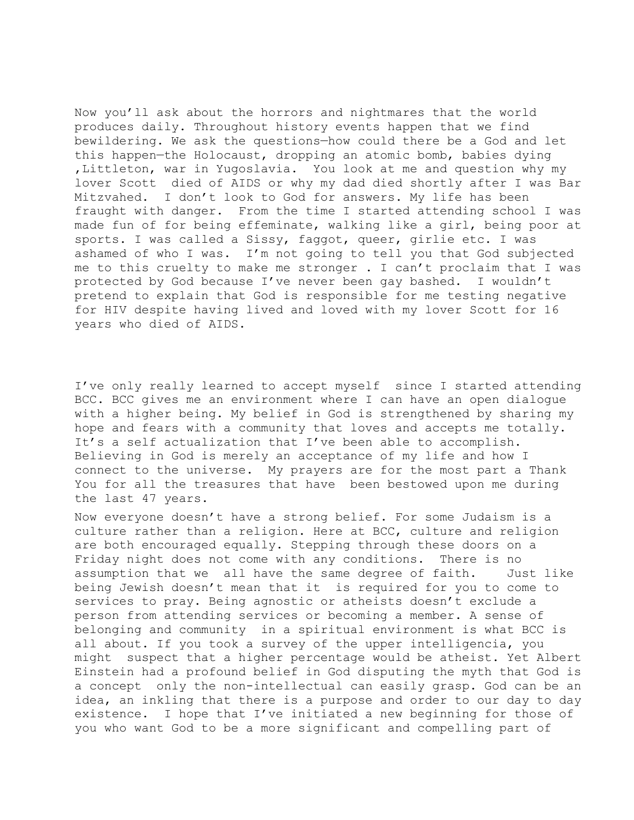Now you'll ask about the horrors and nightmares that the world produces daily. Throughout history events happen that we find bewildering. We ask the questions—how could there be a God and let this happen—the Holocaust, dropping an atomic bomb, babies dying ,Littleton, war in Yugoslavia. You look at me and question why my lover Scott died of AIDS or why my dad died shortly after I was Bar Mitzvahed. I don't look to God for answers. My life has been fraught with danger. From the time I started attending school I was made fun of for being effeminate, walking like a girl, being poor at sports. I was called a Sissy, faggot, queer, girlie etc. I was ashamed of who I was. I'm not going to tell you that God subjected me to this cruelty to make me stronger . I can't proclaim that I was protected by God because I've never been gay bashed. I wouldn't pretend to explain that God is responsible for me testing negative for HIV despite having lived and loved with my lover Scott for 16 years who died of AIDS.

I've only really learned to accept myself since I started attending BCC. BCC gives me an environment where I can have an open dialogue with a higher being. My belief in God is strengthened by sharing my hope and fears with a community that loves and accepts me totally. It's a self actualization that I've been able to accomplish. Believing in God is merely an acceptance of my life and how I connect to the universe. My prayers are for the most part a Thank You for all the treasures that have been bestowed upon me during the last 47 years.

Now everyone doesn't have a strong belief. For some Judaism is a culture rather than a religion. Here at BCC, culture and religion are both encouraged equally. Stepping through these doors on a Friday night does not come with any conditions. There is no assumption that we all have the same degree of faith. Just like being Jewish doesn't mean that it is required for you to come to services to pray. Being agnostic or atheists doesn't exclude a person from attending services or becoming a member. A sense of belonging and community in a spiritual environment is what BCC is all about. If you took a survey of the upper intelligencia, you might suspect that a higher percentage would be atheist. Yet Albert Einstein had a profound belief in God disputing the myth that God is a concept only the non-intellectual can easily grasp. God can be an idea, an inkling that there is a purpose and order to our day to day existence. I hope that I've initiated a new beginning for those of you who want God to be a more significant and compelling part of